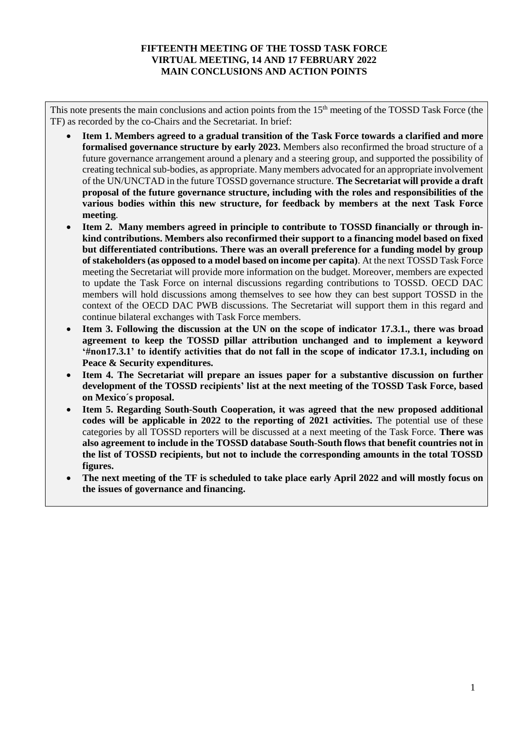## **FIFTEENTH MEETING OF THE TOSSD TASK FORCE VIRTUAL MEETING, 14 AND 17 FEBRUARY 2022 MAIN CONCLUSIONS AND ACTION POINTS**

This note presents the main conclusions and action points from the 15<sup>th</sup> meeting of the TOSSD Task Force (the TF) as recorded by the co-Chairs and the Secretariat. In brief:

- **Item 1. Members agreed to a gradual transition of the Task Force towards a clarified and more formalised governance structure by early 2023.** Members also reconfirmed the broad structure of a future governance arrangement around a plenary and a steering group, and supported the possibility of creating technical sub-bodies, as appropriate. Many members advocated for an appropriate involvement of the UN/UNCTAD in the future TOSSD governance structure. **The Secretariat will provide a draft proposal of the future governance structure, including with the roles and responsibilities of the various bodies within this new structure, for feedback by members at the next Task Force meeting**.
- **Item 2. Many members agreed in principle to contribute to TOSSD financially or through inkind contributions. Members also reconfirmed their support to a financing model based on fixed but differentiated contributions. There was an overall preference for a funding model by group of stakeholders (as opposed to a model based on income per capita)**. At the next TOSSD Task Force meeting the Secretariat will provide more information on the budget. Moreover, members are expected to update the Task Force on internal discussions regarding contributions to TOSSD. OECD DAC members will hold discussions among themselves to see how they can best support TOSSD in the context of the OECD DAC PWB discussions. The Secretariat will support them in this regard and continue bilateral exchanges with Task Force members.
- **Item 3. Following the discussion at the UN on the scope of indicator 17.3.1., there was broad agreement to keep the TOSSD pillar attribution unchanged and to implement a keyword '#non17.3.1' to identify activities that do not fall in the scope of indicator 17.3.1, including on Peace & Security expenditures.**
- **Item 4. The Secretariat will prepare an issues paper for a substantive discussion on further development of the TOSSD recipients' list at the next meeting of the TOSSD Task Force, based on Mexico´s proposal.**
- **Item 5. Regarding South-South Cooperation, it was agreed that the new proposed additional codes will be applicable in 2022 to the reporting of 2021 activities.** The potential use of these categories by all TOSSD reporters will be discussed at a next meeting of the Task Force. **There was also agreement to include in the TOSSD database South-South flows that benefit countries not in the list of TOSSD recipients, but not to include the corresponding amounts in the total TOSSD figures.**
- **The next meeting of the TF is scheduled to take place early April 2022 and will mostly focus on the issues of governance and financing.**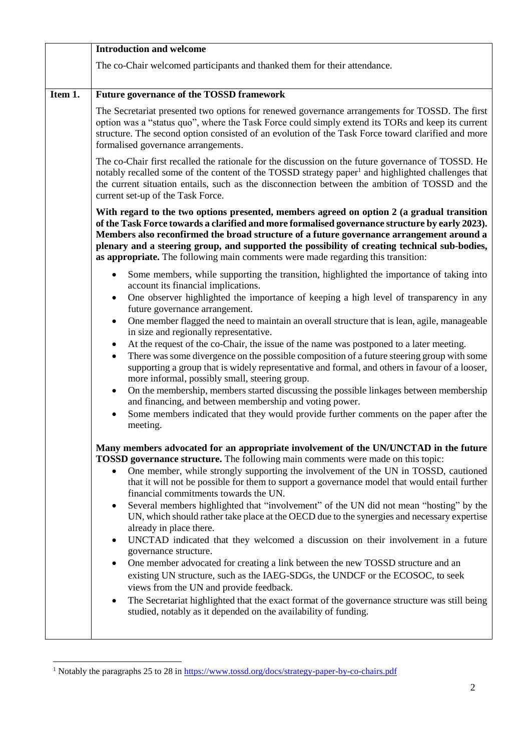|         | <b>Introduction and welcome</b>                                                                                                                                                                                                                                                                                                                                                                                                                                                                                                                                                                                                                                                                                                                                                                                                                                                                                                                                                                                                                                                                                                                                                                                                                                                                                                                                                                                                                                                                                                           |
|---------|-------------------------------------------------------------------------------------------------------------------------------------------------------------------------------------------------------------------------------------------------------------------------------------------------------------------------------------------------------------------------------------------------------------------------------------------------------------------------------------------------------------------------------------------------------------------------------------------------------------------------------------------------------------------------------------------------------------------------------------------------------------------------------------------------------------------------------------------------------------------------------------------------------------------------------------------------------------------------------------------------------------------------------------------------------------------------------------------------------------------------------------------------------------------------------------------------------------------------------------------------------------------------------------------------------------------------------------------------------------------------------------------------------------------------------------------------------------------------------------------------------------------------------------------|
|         | The co-Chair welcomed participants and thanked them for their attendance.                                                                                                                                                                                                                                                                                                                                                                                                                                                                                                                                                                                                                                                                                                                                                                                                                                                                                                                                                                                                                                                                                                                                                                                                                                                                                                                                                                                                                                                                 |
| Item 1. | <b>Future governance of the TOSSD framework</b>                                                                                                                                                                                                                                                                                                                                                                                                                                                                                                                                                                                                                                                                                                                                                                                                                                                                                                                                                                                                                                                                                                                                                                                                                                                                                                                                                                                                                                                                                           |
|         | The Secretariat presented two options for renewed governance arrangements for TOSSD. The first<br>option was a "status quo", where the Task Force could simply extend its TORs and keep its current<br>structure. The second option consisted of an evolution of the Task Force toward clarified and more<br>formalised governance arrangements.                                                                                                                                                                                                                                                                                                                                                                                                                                                                                                                                                                                                                                                                                                                                                                                                                                                                                                                                                                                                                                                                                                                                                                                          |
|         | The co-Chair first recalled the rationale for the discussion on the future governance of TOSSD. He<br>notably recalled some of the content of the TOSSD strategy paper <sup>1</sup> and highlighted challenges that<br>the current situation entails, such as the disconnection between the ambition of TOSSD and the<br>current set-up of the Task Force.                                                                                                                                                                                                                                                                                                                                                                                                                                                                                                                                                                                                                                                                                                                                                                                                                                                                                                                                                                                                                                                                                                                                                                                |
|         | With regard to the two options presented, members agreed on option 2 (a gradual transition<br>of the Task Force towards a clarified and more formalised governance structure by early 2023).<br>Members also reconfirmed the broad structure of a future governance arrangement around a<br>plenary and a steering group, and supported the possibility of creating technical sub-bodies,<br>as appropriate. The following main comments were made regarding this transition:                                                                                                                                                                                                                                                                                                                                                                                                                                                                                                                                                                                                                                                                                                                                                                                                                                                                                                                                                                                                                                                             |
|         | Some members, while supporting the transition, highlighted the importance of taking into<br>$\bullet$<br>account its financial implications.<br>One observer highlighted the importance of keeping a high level of transparency in any<br>$\bullet$<br>future governance arrangement.<br>One member flagged the need to maintain an overall structure that is lean, agile, manageable<br>$\bullet$<br>in size and regionally representative.<br>At the request of the co-Chair, the issue of the name was postponed to a later meeting.<br>$\bullet$<br>There was some divergence on the possible composition of a future steering group with some<br>$\bullet$<br>supporting a group that is widely representative and formal, and others in favour of a looser,<br>more informal, possibly small, steering group.<br>On the membership, members started discussing the possible linkages between membership<br>$\bullet$<br>and financing, and between membership and voting power.<br>Some members indicated that they would provide further comments on the paper after the<br>$\bullet$<br>meeting.<br>Many members advocated for an appropriate involvement of the UN/UNCTAD in the future<br><b>TOSSD governance structure.</b> The following main comments were made on this topic:<br>One member, while strongly supporting the involvement of the UN in TOSSD, cautioned<br>$\bullet$<br>that it will not be possible for them to support a governance model that would entail further<br>financial commitments towards the UN. |
|         | Several members highlighted that "involvement" of the UN did not mean "hosting" by the<br>٠<br>UN, which should rather take place at the OECD due to the synergies and necessary expertise<br>already in place there.<br>UNCTAD indicated that they welcomed a discussion on their involvement in a future<br>$\bullet$<br>governance structure.<br>One member advocated for creating a link between the new TOSSD structure and an<br>$\bullet$<br>existing UN structure, such as the IAEG-SDGs, the UNDCF or the ECOSOC, to seek<br>views from the UN and provide feedback.<br>The Secretariat highlighted that the exact format of the governance structure was still being<br>٠<br>studied, notably as it depended on the availability of funding.                                                                                                                                                                                                                                                                                                                                                                                                                                                                                                                                                                                                                                                                                                                                                                                    |

<sup>&</sup>lt;sup>1</sup> Notably the paragraphs 25 to 28 i[n https://www.tossd.org/docs/strategy-paper-by-co-chairs.pdf](https://www.tossd.org/docs/strategy-paper-by-co-chairs.pdf)

l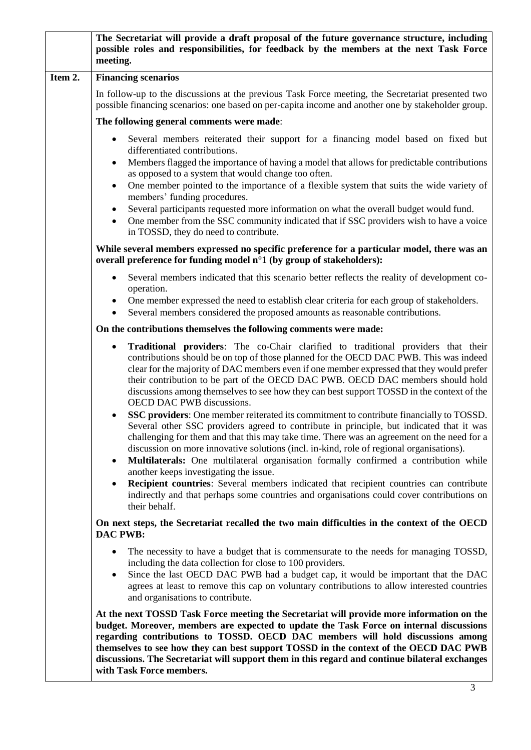|         | The Secretariat will provide a draft proposal of the future governance structure, including<br>possible roles and responsibilities, for feedback by the members at the next Task Force<br>meeting.                                                                                                                                                                                                                                                                                                                                                                                                                                                                                                                                                                                                                                                                                                                                                                                                                                                                                                                                                                                                                                                 |
|---------|----------------------------------------------------------------------------------------------------------------------------------------------------------------------------------------------------------------------------------------------------------------------------------------------------------------------------------------------------------------------------------------------------------------------------------------------------------------------------------------------------------------------------------------------------------------------------------------------------------------------------------------------------------------------------------------------------------------------------------------------------------------------------------------------------------------------------------------------------------------------------------------------------------------------------------------------------------------------------------------------------------------------------------------------------------------------------------------------------------------------------------------------------------------------------------------------------------------------------------------------------|
| Item 2. | <b>Financing scenarios</b>                                                                                                                                                                                                                                                                                                                                                                                                                                                                                                                                                                                                                                                                                                                                                                                                                                                                                                                                                                                                                                                                                                                                                                                                                         |
|         | In follow-up to the discussions at the previous Task Force meeting, the Secretariat presented two<br>possible financing scenarios: one based on per-capita income and another one by stakeholder group.                                                                                                                                                                                                                                                                                                                                                                                                                                                                                                                                                                                                                                                                                                                                                                                                                                                                                                                                                                                                                                            |
|         | The following general comments were made:                                                                                                                                                                                                                                                                                                                                                                                                                                                                                                                                                                                                                                                                                                                                                                                                                                                                                                                                                                                                                                                                                                                                                                                                          |
|         | Several members reiterated their support for a financing model based on fixed but<br>$\bullet$<br>differentiated contributions.                                                                                                                                                                                                                                                                                                                                                                                                                                                                                                                                                                                                                                                                                                                                                                                                                                                                                                                                                                                                                                                                                                                    |
|         | Members flagged the importance of having a model that allows for predictable contributions<br>٠<br>as opposed to a system that would change too often.<br>One member pointed to the importance of a flexible system that suits the wide variety of<br>$\bullet$                                                                                                                                                                                                                                                                                                                                                                                                                                                                                                                                                                                                                                                                                                                                                                                                                                                                                                                                                                                    |
|         | members' funding procedures.                                                                                                                                                                                                                                                                                                                                                                                                                                                                                                                                                                                                                                                                                                                                                                                                                                                                                                                                                                                                                                                                                                                                                                                                                       |
|         | Several participants requested more information on what the overall budget would fund.<br>$\bullet$<br>One member from the SSC community indicated that if SSC providers wish to have a voice<br>$\bullet$<br>in TOSSD, they do need to contribute.                                                                                                                                                                                                                                                                                                                                                                                                                                                                                                                                                                                                                                                                                                                                                                                                                                                                                                                                                                                                |
|         | While several members expressed no specific preference for a particular model, there was an<br>overall preference for funding model n°1 (by group of stakeholders):                                                                                                                                                                                                                                                                                                                                                                                                                                                                                                                                                                                                                                                                                                                                                                                                                                                                                                                                                                                                                                                                                |
|         | Several members indicated that this scenario better reflects the reality of development co-<br>٠                                                                                                                                                                                                                                                                                                                                                                                                                                                                                                                                                                                                                                                                                                                                                                                                                                                                                                                                                                                                                                                                                                                                                   |
|         | operation.<br>One member expressed the need to establish clear criteria for each group of stakeholders.<br>٠<br>Several members considered the proposed amounts as reasonable contributions.                                                                                                                                                                                                                                                                                                                                                                                                                                                                                                                                                                                                                                                                                                                                                                                                                                                                                                                                                                                                                                                       |
|         | On the contributions themselves the following comments were made:                                                                                                                                                                                                                                                                                                                                                                                                                                                                                                                                                                                                                                                                                                                                                                                                                                                                                                                                                                                                                                                                                                                                                                                  |
|         | Traditional providers: The co-Chair clarified to traditional providers that their<br>٠<br>contributions should be on top of those planned for the OECD DAC PWB. This was indeed<br>clear for the majority of DAC members even if one member expressed that they would prefer<br>their contribution to be part of the OECD DAC PWB. OECD DAC members should hold<br>discussions among themselves to see how they can best support TOSSD in the context of the<br>OECD DAC PWB discussions.<br><b>SSC providers:</b> One member reiterated its commitment to contribute financially to TOSSD.<br>Several other SSC providers agreed to contribute in principle, but indicated that it was<br>challenging for them and that this may take time. There was an agreement on the need for a<br>discussion on more innovative solutions (incl. in-kind, role of regional organisations).<br><b>Multilaterals:</b> One multilateral organisation formally confirmed a contribution while<br>$\bullet$<br>another keeps investigating the issue.<br><b>Recipient countries:</b> Several members indicated that recipient countries can contribute<br>$\bullet$<br>indirectly and that perhaps some countries and organisations could cover contributions on |
|         | their behalf.<br>On next steps, the Secretariat recalled the two main difficulties in the context of the OECD                                                                                                                                                                                                                                                                                                                                                                                                                                                                                                                                                                                                                                                                                                                                                                                                                                                                                                                                                                                                                                                                                                                                      |
|         | <b>DAC PWB:</b>                                                                                                                                                                                                                                                                                                                                                                                                                                                                                                                                                                                                                                                                                                                                                                                                                                                                                                                                                                                                                                                                                                                                                                                                                                    |
|         | The necessity to have a budget that is commensurate to the needs for managing TOSSD,<br>٠<br>including the data collection for close to 100 providers.<br>Since the last OECD DAC PWB had a budget cap, it would be important that the DAC<br>$\bullet$                                                                                                                                                                                                                                                                                                                                                                                                                                                                                                                                                                                                                                                                                                                                                                                                                                                                                                                                                                                            |
|         | agrees at least to remove this cap on voluntary contributions to allow interested countries<br>and organisations to contribute.                                                                                                                                                                                                                                                                                                                                                                                                                                                                                                                                                                                                                                                                                                                                                                                                                                                                                                                                                                                                                                                                                                                    |
|         | At the next TOSSD Task Force meeting the Secretariat will provide more information on the<br>budget. Moreover, members are expected to update the Task Force on internal discussions<br>regarding contributions to TOSSD. OECD DAC members will hold discussions among<br>themselves to see how they can best support TOSSD in the context of the OECD DAC PWB<br>discussions. The Secretariat will support them in this regard and continue bilateral exchanges<br>with Task Force members.                                                                                                                                                                                                                                                                                                                                                                                                                                                                                                                                                                                                                                                                                                                                                       |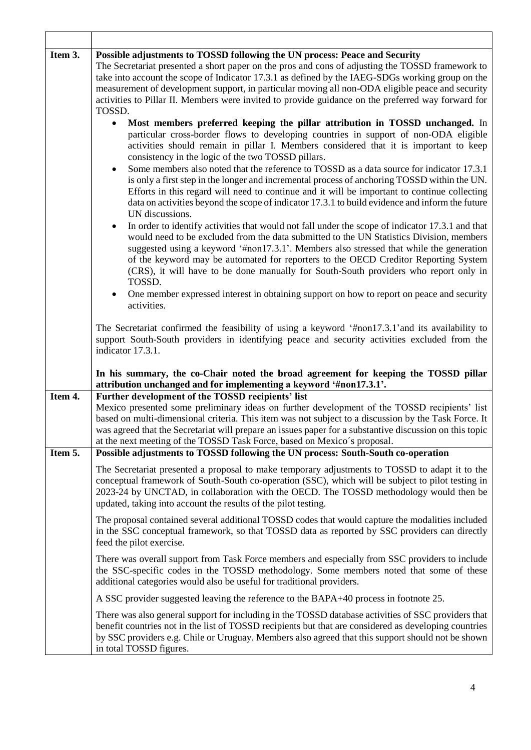| Item 3. | Possible adjustments to TOSSD following the UN process: Peace and Security<br>The Secretariat presented a short paper on the pros and cons of adjusting the TOSSD framework to<br>take into account the scope of Indicator 17.3.1 as defined by the IAEG-SDGs working group on the<br>measurement of development support, in particular moving all non-ODA eligible peace and security<br>activities to Pillar II. Members were invited to provide guidance on the preferred way forward for<br>TOSSD.<br>Most members preferred keeping the pillar attribution in TOSSD unchanged. In<br>$\bullet$                                                                 |
|---------|---------------------------------------------------------------------------------------------------------------------------------------------------------------------------------------------------------------------------------------------------------------------------------------------------------------------------------------------------------------------------------------------------------------------------------------------------------------------------------------------------------------------------------------------------------------------------------------------------------------------------------------------------------------------|
|         | particular cross-border flows to developing countries in support of non-ODA eligible<br>activities should remain in pillar I. Members considered that it is important to keep<br>consistency in the logic of the two TOSSD pillars.<br>Some members also noted that the reference to TOSSD as a data source for indicator 17.3.1<br>$\bullet$<br>is only a first step in the longer and incremental process of anchoring TOSSD within the UN.<br>Efforts in this regard will need to continue and it will be important to continue collecting<br>data on activities beyond the scope of indicator 17.3.1 to build evidence and inform the future<br>UN discussions. |
|         | In order to identify activities that would not fall under the scope of indicator 17.3.1 and that<br>$\bullet$<br>would need to be excluded from the data submitted to the UN Statistics Division, members<br>suggested using a keyword '#non17.3.1'. Members also stressed that while the generation<br>of the keyword may be automated for reporters to the OECD Creditor Reporting System<br>(CRS), it will have to be done manually for South-South providers who report only in<br>TOSSD.<br>One member expressed interest in obtaining support on how to report on peace and security<br>$\bullet$                                                             |
|         | activities.<br>The Secretariat confirmed the feasibility of using a keyword '#non17.3.1' and its availability to<br>support South-South providers in identifying peace and security activities excluded from the<br>indicator 17.3.1.                                                                                                                                                                                                                                                                                                                                                                                                                               |
|         | In his summary, the co-Chair noted the broad agreement for keeping the TOSSD pillar<br>attribution unchanged and for implementing a keyword '#non17.3.1'.                                                                                                                                                                                                                                                                                                                                                                                                                                                                                                           |
| Item 4. | Further development of the TOSSD recipients' list<br>Mexico presented some preliminary ideas on further development of the TOSSD recipients' list<br>based on multi-dimensional criteria. This item was not subject to a discussion by the Task Force. It<br>was agreed that the Secretariat will prepare an issues paper for a substantive discussion on this topic<br>at the next meeting of the TOSSD Task Force, based on Mexico's proposal.                                                                                                                                                                                                                    |
| Item 5. | Possible adjustments to TOSSD following the UN process: South-South co-operation                                                                                                                                                                                                                                                                                                                                                                                                                                                                                                                                                                                    |
|         | The Secretariat presented a proposal to make temporary adjustments to TOSSD to adapt it to the<br>conceptual framework of South-South co-operation (SSC), which will be subject to pilot testing in<br>2023-24 by UNCTAD, in collaboration with the OECD. The TOSSD methodology would then be<br>updated, taking into account the results of the pilot testing.                                                                                                                                                                                                                                                                                                     |
|         | The proposal contained several additional TOSSD codes that would capture the modalities included<br>in the SSC conceptual framework, so that TOSSD data as reported by SSC providers can directly<br>feed the pilot exercise.                                                                                                                                                                                                                                                                                                                                                                                                                                       |
|         | There was overall support from Task Force members and especially from SSC providers to include<br>the SSC-specific codes in the TOSSD methodology. Some members noted that some of these<br>additional categories would also be useful for traditional providers.                                                                                                                                                                                                                                                                                                                                                                                                   |
|         | A SSC provider suggested leaving the reference to the BAPA+40 process in footnote 25.                                                                                                                                                                                                                                                                                                                                                                                                                                                                                                                                                                               |
|         | There was also general support for including in the TOSSD database activities of SSC providers that<br>benefit countries not in the list of TOSSD recipients but that are considered as developing countries<br>by SSC providers e.g. Chile or Uruguay. Members also agreed that this support should not be shown<br>in total TOSSD figures.                                                                                                                                                                                                                                                                                                                        |